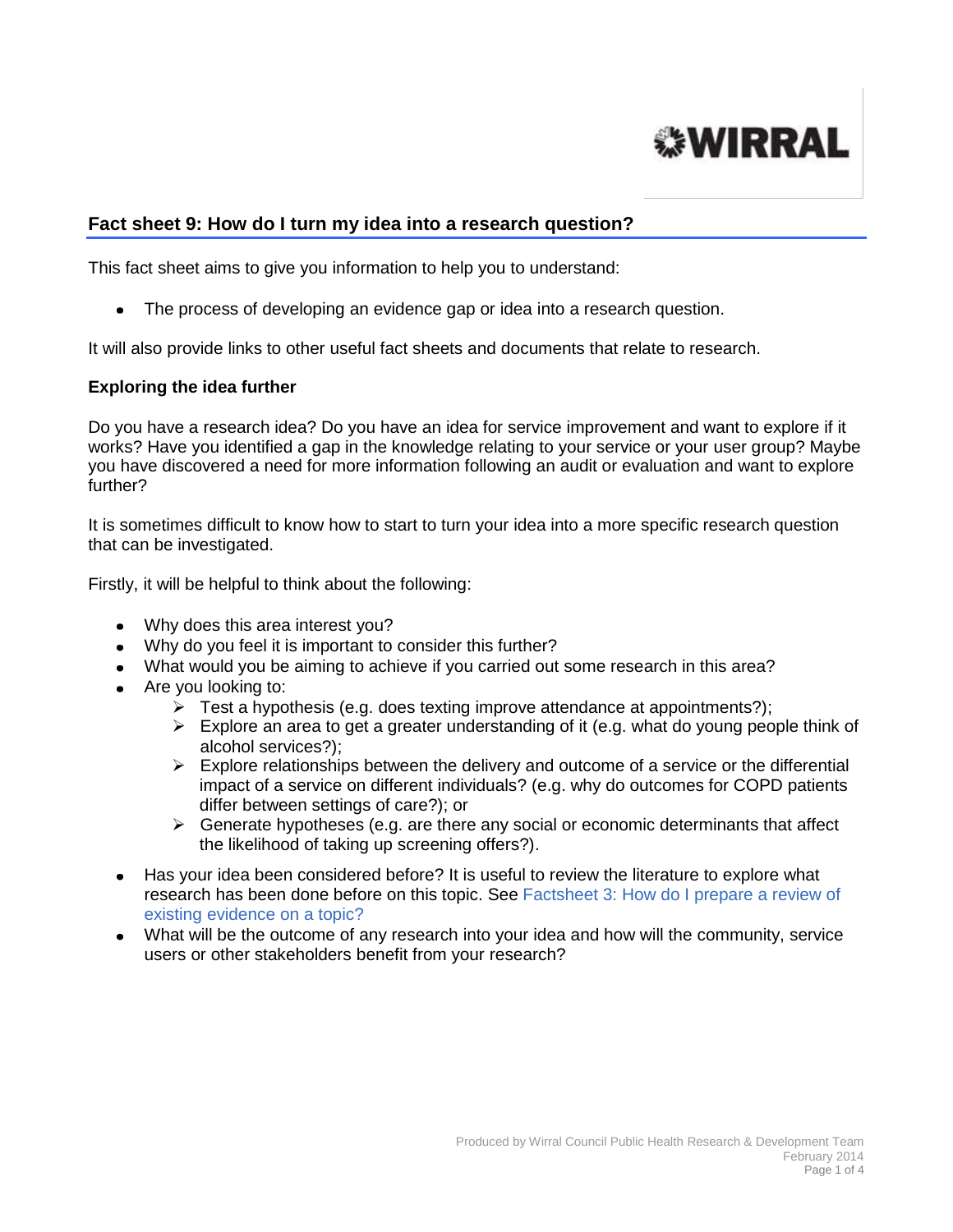

# **Fact sheet 9: How do I turn my idea into a research question?**

This fact sheet aims to give you information to help you to understand:

The process of developing an evidence gap or idea into a research question.  $\bullet$ 

It will also provide links to other useful fact sheets and documents that relate to research.

#### **Exploring the idea further**

Do you have a research idea? Do you have an idea for service improvement and want to explore if it works? Have you identified a gap in the knowledge relating to your service or your user group? Maybe you have discovered a need for more information following an audit or evaluation and want to explore further?

It is sometimes difficult to know how to start to turn your idea into a more specific research question that can be investigated.

Firstly, it will be helpful to think about the following:

- Why does this area interest you?
- Why do you feel it is important to consider this further?
- What would you be aiming to achieve if you carried out some research in this area?
- Are you looking to:
	- $\triangleright$  Test a hypothesis (e.g. does texting improve attendance at appointments?);
	- $\triangleright$  Explore an area to get a greater understanding of it (e.g. what do young people think of alcohol services?);
	- $\triangleright$  Explore relationships between the delivery and outcome of a service or the differential impact of a service on different individuals? (e.g. why do outcomes for COPD patients differ between settings of care?); or
	- $\triangleright$  Generate hypotheses (e.g. are there any social or economic determinants that affect the likelihood of taking up screening offers?).
- Has your idea been considered before? It is useful to review the literature to explore what research has been done before on this topic. See [Factsheet 3: How do I prepare a review of](http://info.wirral.nhs.uk/intelligencehub/howtofact-sheetsonevidence&research.html)  [existing evidence on a topic?](http://info.wirral.nhs.uk/intelligencehub/howtofact-sheetsonevidence&research.html)
- What will be the outcome of any research into your idea and how will the community, service users or other stakeholders benefit from your research?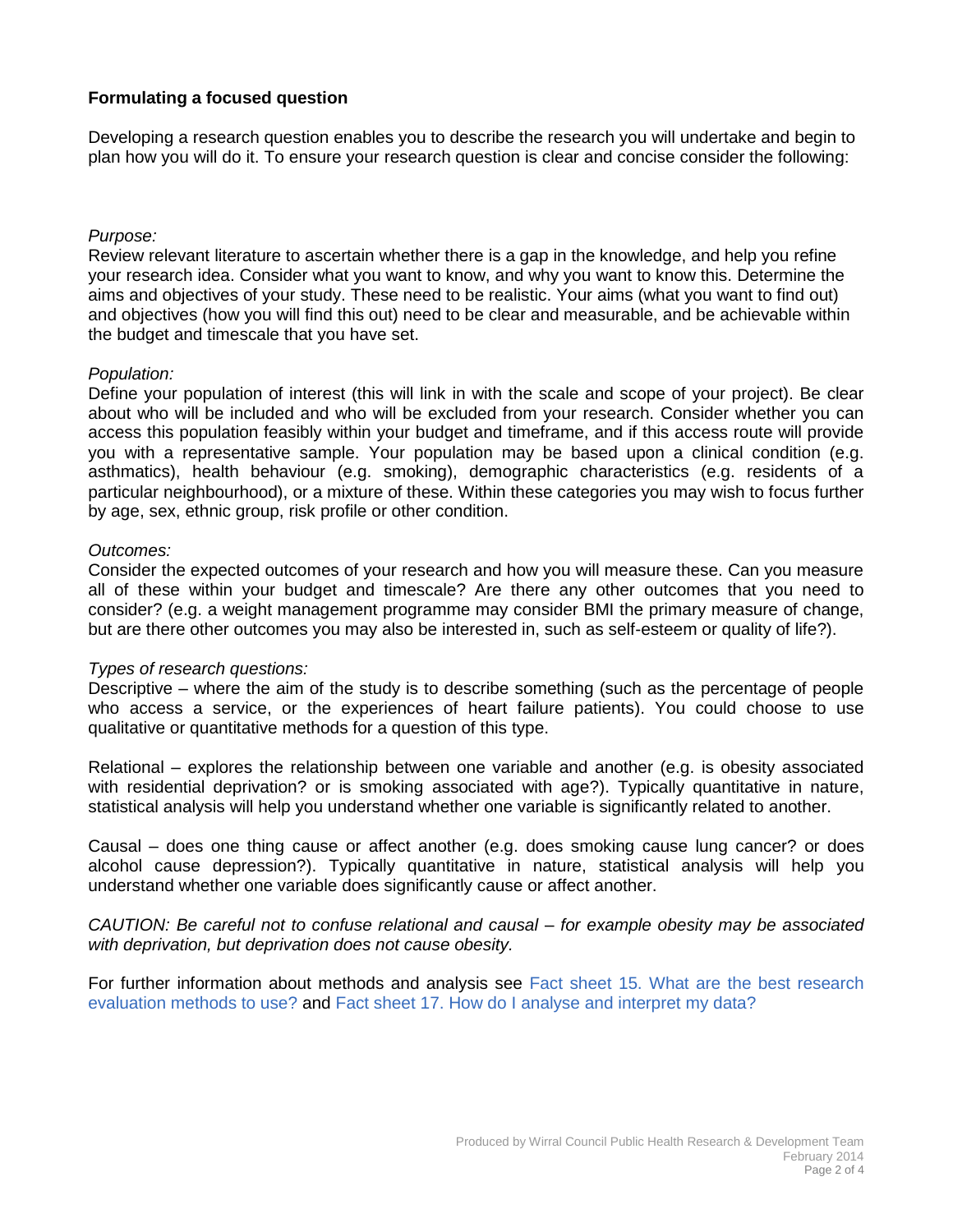# **Formulating a focused question**

Developing a research question enables you to describe the research you will undertake and begin to plan how you will do it. To ensure your research question is clear and concise consider the following:

## *Purpose:*

Review relevant literature to ascertain whether there is a gap in the knowledge, and help you refine your research idea. Consider what you want to know, and why you want to know this. Determine the aims and objectives of your study. These need to be realistic. Your aims (what you want to find out) and objectives (how you will find this out) need to be clear and measurable, and be achievable within the budget and timescale that you have set.

#### *Population:*

Define your population of interest (this will link in with the scale and scope of your project). Be clear about who will be included and who will be excluded from your research. Consider whether you can access this population feasibly within your budget and timeframe, and if this access route will provide you with a representative sample. Your population may be based upon a clinical condition (e.g. asthmatics), health behaviour (e.g. smoking), demographic characteristics (e.g. residents of a particular neighbourhood), or a mixture of these. Within these categories you may wish to focus further by age, sex, ethnic group, risk profile or other condition.

#### *Outcomes:*

Consider the expected outcomes of your research and how you will measure these. Can you measure all of these within your budget and timescale? Are there any other outcomes that you need to consider? (e.g. a weight management programme may consider BMI the primary measure of change, but are there other outcomes you may also be interested in, such as self-esteem or quality of life?).

#### *Types of research questions:*

Descriptive – where the aim of the study is to describe something (such as the percentage of people who access a service, or the experiences of heart failure patients). You could choose to use qualitative or quantitative methods for a question of this type.

Relational – explores the relationship between one variable and another (e.g. is obesity associated with residential deprivation? or is smoking associated with age?). Typically quantitative in nature, statistical analysis will help you understand whether one variable is significantly related to another.

Causal – does one thing cause or affect another (e.g. does smoking cause lung cancer? or does alcohol cause depression?). Typically quantitative in nature, statistical analysis will help you understand whether one variable does significantly cause or affect another.

*CAUTION: Be careful not to confuse relational and causal – for example obesity may be associated with deprivation, but deprivation does not cause obesity.* 

For further information about methods and analysis see [Fact sheet 15. What are the best research](http://info.wirral.nhs.uk/intelligencehub/howtofact-sheetsonevidence&research.html)  [evaluation methods to use?](http://info.wirral.nhs.uk/intelligencehub/howtofact-sheetsonevidence&research.html) and [Fact sheet 17. How do I analyse and interpret my data?](http://info.wirral.nhs.uk/intelligencehub/howtofact-sheetsonevidence&research.html)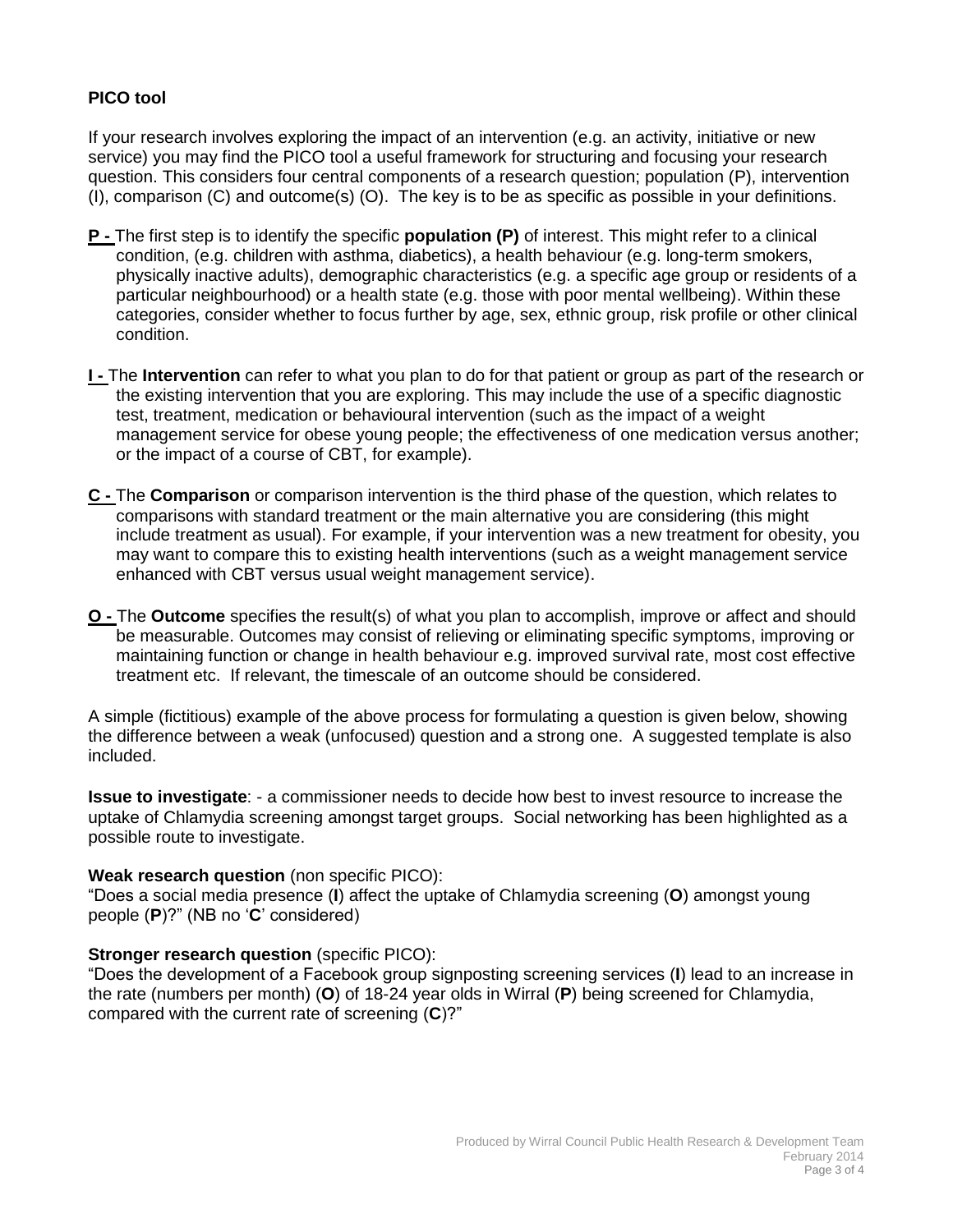# **PICO tool**

If your research involves exploring the impact of an intervention (e.g. an activity, initiative or new service) you may find the PICO tool a useful framework for structuring and focusing your research question. This considers four central components of a research question; [population \(P\),](http://www.usc.edu/hsc/ebnet/ebframe/PICO.htm#P#P) [intervention](http://www.usc.edu/hsc/ebnet/ebframe/PICO.htm#I#I)  [\(I\),](http://www.usc.edu/hsc/ebnet/ebframe/PICO.htm#I#I) [comparison \(C\)](http://www.usc.edu/hsc/ebnet/ebframe/PICO.htm#C#C) and [outcome\(s\) \(O\).](http://www.usc.edu/hsc/ebnet/ebframe/PICO.htm#O#O) The key is to be as specific as possible in your definitions.

- **P -** The first step is to identify the specific **population (P)** of interest. This might refer to a clinical condition, (e.g. children with asthma, diabetics), a health behaviour (e.g. long-term smokers, physically inactive adults), demographic characteristics (e.g. a specific age group or residents of a particular neighbourhood) or a health state (e.g. those with poor mental wellbeing). Within these categories, consider whether to focus further by age, sex, ethnic group, risk profile or other clinical condition.
- **I -** The **Intervention** can refer to what you plan to do for that patient or group as part of the research or the existing intervention that you are exploring. This may include the use of a specific diagnostic test, treatment, medication or behavioural intervention (such as the impact of a weight management service for obese young people; the effectiveness of one medication versus another; or the impact of a course of CBT, for example).
- **C -** The **Comparison** or comparison intervention is the third phase of the question, which relates to comparisons with standard treatment or the main alternative you are considering (this might include treatment as usual). For example, if your intervention was a new treatment for obesity, you may want to compare this to existing health interventions (such as a weight management service enhanced with CBT versus usual weight management service).
- **O -** The **Outcome** specifies the result(s) of what you plan to accomplish, improve or affect and should be measurable. Outcomes may consist of relieving or eliminating specific symptoms, improving or maintaining function or change in health behaviour e.g. improved survival rate, most cost effective treatment etc. If relevant, the timescale of an outcome should be considered.

A simple (fictitious) example of the above process for formulating a question is given below, showing the difference between a weak (unfocused) question and a strong one. A suggested template is also included.

**Issue to investigate**: - a commissioner needs to decide how best to invest resource to increase the uptake of Chlamydia screening amongst target groups. Social networking has been highlighted as a possible route to investigate.

## **Weak research question** (non specific PICO):

"Does a social media presence (**I**) affect the uptake of Chlamydia screening (**O**) amongst young people (**P**)?" (NB no '**C**' considered)

## **Stronger research question** (specific PICO):

"Does the development of a Facebook group signposting screening services (**I**) lead to an increase in the rate (numbers per month) (**O**) of 18-24 year olds in Wirral (**P**) being screened for Chlamydia, compared with the current rate of screening (**C**)?"